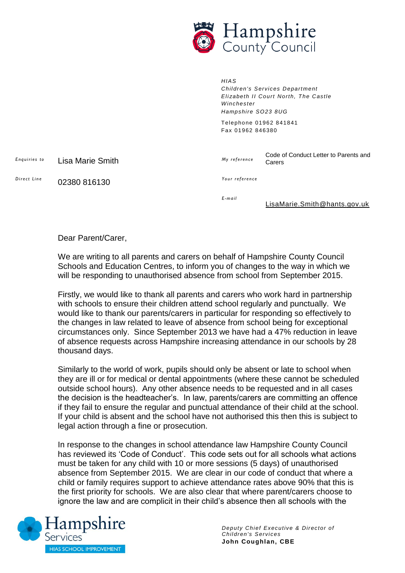

*HIAS Children's Services Department Elizabeth II Court North, The Castle Winchester Hampshire SO23 8UG* Telephone 01962 841841 Fax 01962 846380

Carers

*E nq ui ri es to* Lisa Marie Smith

*Your reference* 

Code of Conduct Letter to Parents and

*Di r e c t Li n e* 02380 816130

*E -ma i l*

*My r ef e r en c e*

[LisaMarie.Smith@hants.gov.uk](mailto:LisaMarie.Smith@hants.gov.uk)

Dear Parent/Carer,

We are writing to all parents and carers on behalf of Hampshire County Council Schools and Education Centres, to inform you of changes to the way in which we will be responding to unauthorised absence from school from September 2015.

Firstly, we would like to thank all parents and carers who work hard in partnership with schools to ensure their children attend school regularly and punctually. We would like to thank our parents/carers in particular for responding so effectively to the changes in law related to leave of absence from school being for exceptional circumstances only. Since September 2013 we have had a 47% reduction in leave of absence requests across Hampshire increasing attendance in our schools by 28 thousand days.

Similarly to the world of work, pupils should only be absent or late to school when they are ill or for medical or dental appointments (where these cannot be scheduled outside school hours). Any other absence needs to be requested and in all cases the decision is the headteacher's. In law, parents/carers are committing an offence if they fail to ensure the regular and punctual attendance of their child at the school. If your child is absent and the school have not authorised this then this is subject to legal action through a fine or prosecution.

In response to the changes in school attendance law Hampshire County Council has reviewed its 'Code of Conduct'. This code sets out for all schools what actions must be taken for any child with 10 or more sessions (5 days) of unauthorised absence from September 2015. We are clear in our code of conduct that where a child or family requires support to achieve attendance rates above 90% that this is the first priority for schools. We are also clear that where parent/carers choose to ignore the law and are complicit in their child's absence then all schools with the



*Deputy Chief Executive & Director of Children's Services* **John Coughlan, CBE**